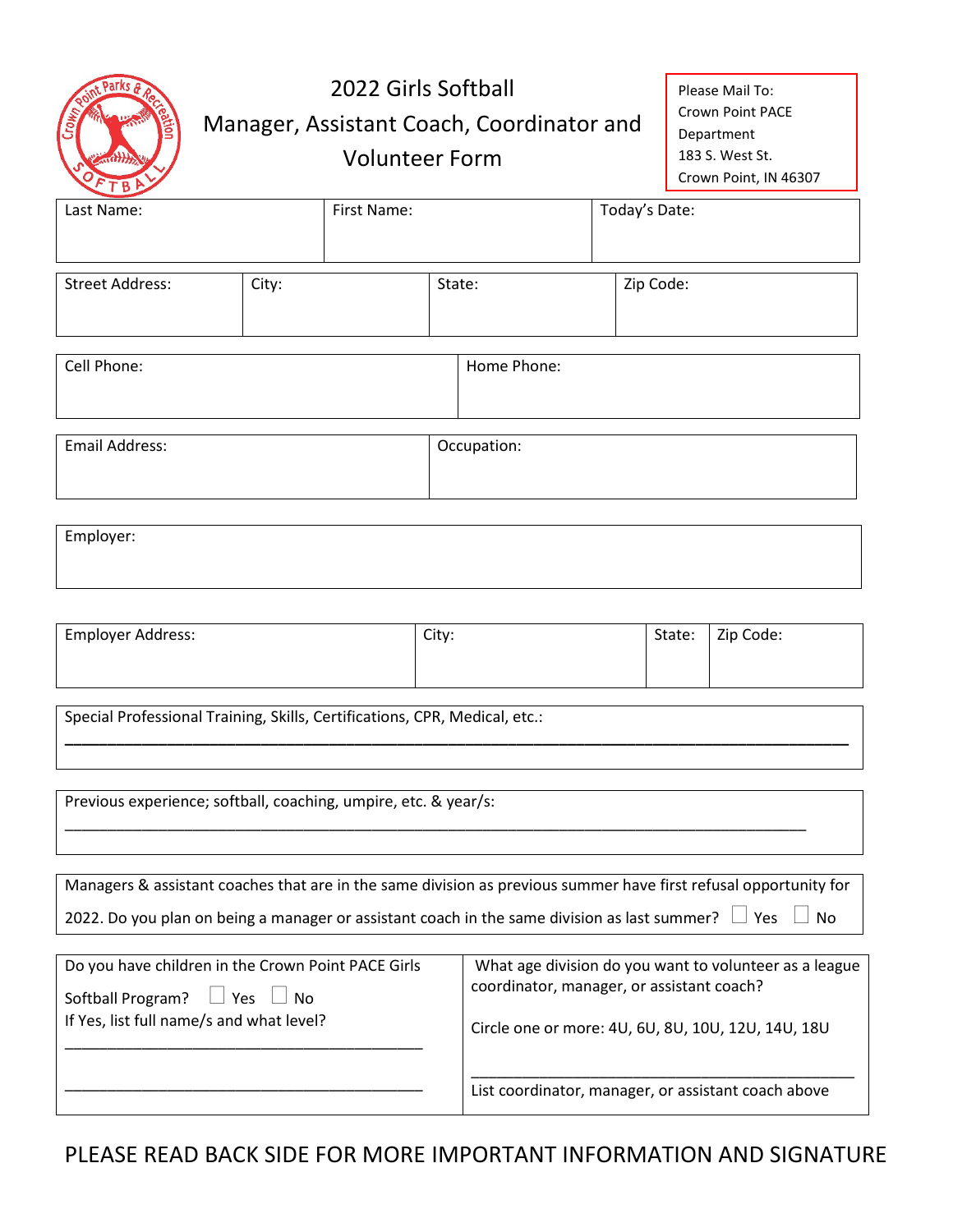| oint Parks & Ro |
|-----------------|

## 2022 Girls Softball Manager, Assistant Coach, Coordinator and Volunteer Form

Please Mail To: Crown Point PACE Department 183 S. West St. Crown Point, IN 46307

| Last Name:             |       | First Name: |             | Today's Date: |  |
|------------------------|-------|-------------|-------------|---------------|--|
| <b>Street Address:</b> | City: |             | State:      | Zip Code:     |  |
| Cell Phone:            |       |             | Home Phone: |               |  |
| Email Address:         |       |             | Occupation: |               |  |

| Employer: |  |  |  |
|-----------|--|--|--|
|           |  |  |  |

| Employer Address: | City: | State: | Zip Code: |
|-------------------|-------|--------|-----------|
|                   |       |        |           |
|                   |       |        |           |

**\_\_\_\_\_\_\_\_\_\_\_\_\_\_\_\_\_\_\_\_\_\_\_\_\_\_\_\_\_\_\_\_\_\_\_\_\_\_\_\_\_\_\_\_\_\_\_\_\_\_\_\_\_\_\_\_\_\_\_\_\_\_\_\_\_\_\_\_\_\_\_\_\_\_\_\_\_\_\_\_\_\_\_\_\_\_\_\_\_\_\_\_**

\_\_\_\_\_\_\_\_\_\_\_\_\_\_\_\_\_\_\_\_\_\_\_\_\_\_\_\_\_\_\_\_\_\_\_\_\_\_\_\_\_\_\_\_\_\_\_\_\_\_\_\_\_\_\_\_\_\_\_\_\_\_\_\_\_\_\_\_\_\_\_\_\_\_\_\_\_\_\_\_\_\_\_\_\_\_\_

Special Professional Training, Skills, Certifications, CPR, Medical, etc.:

Previous experience; softball, coaching, umpire, etc. & year/s:

If Yes, list full name/s and what level?

\_\_\_\_\_\_\_\_\_\_\_\_\_\_\_\_\_\_\_\_\_\_\_\_\_\_\_\_\_\_\_\_\_\_\_\_\_\_\_\_\_\_

\_\_\_\_\_\_\_\_\_\_\_\_\_\_\_\_\_\_\_\_\_\_\_\_\_\_\_\_\_\_\_\_\_\_\_\_\_\_\_\_\_\_

| Managers & assistant coaches that are in the same division as previous summer have first refusal opportunity for  |                                                        |  |  |
|-------------------------------------------------------------------------------------------------------------------|--------------------------------------------------------|--|--|
| 2022. Do you plan on being a manager or assistant coach in the same division as last summer? $\Box$ Yes $\Box$ No |                                                        |  |  |
|                                                                                                                   |                                                        |  |  |
| Do you have children in the Crown Point PACE Girls                                                                | What age division do you want to volunteer as a league |  |  |
| Softball Program? $\Box$ Yes $\Box$ No                                                                            | coordinator, manager, or assistant coach?              |  |  |

\_\_\_\_\_\_\_\_\_\_\_\_\_\_\_\_\_\_\_\_\_\_\_\_\_\_\_\_\_\_\_\_\_\_\_\_\_\_\_\_\_\_\_\_\_ List coordinator, manager, or assistant coach above

PLEASE READ BACK SIDE FOR MORE IMPORTANT INFORMATION AND SIGNATURE